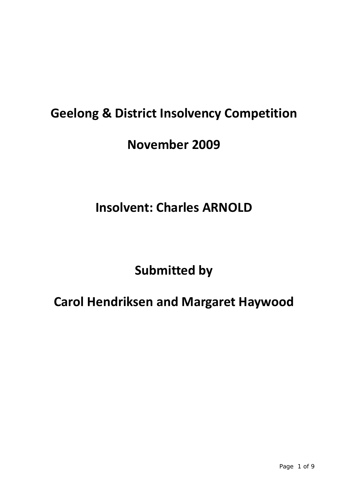# **Geelong & District Insolvency Competition**

### **November 2009**

# **Insolvent: Charles ARNOLD**

## **Submitted by**

### **Carol Hendriksen and Margaret Haywood**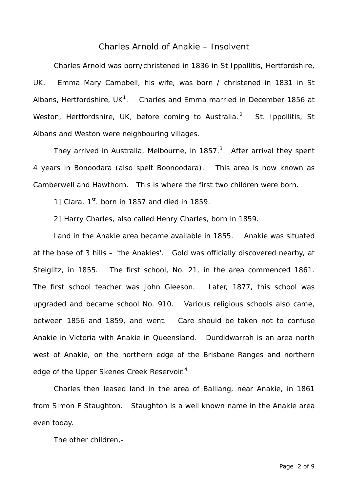#### Charles Arnold of Anakie – Insolvent

 Charles Arnold was born/christened in 1836 in St Ippollitis, Hertfordshire, UK. Emma Mary Campbell, his wife, was born / christened in 1831 in St Albans, Hertfordshire, UK<sup>1</sup>. Charles and Emma married in December 1856 at Weston, Hertfordshire, UK, before coming to Australia.<sup>2</sup> St. Ippollitis, St. Albans and Weston were neighbouring villages.

They arrived in Australia, Melbourne, in 1857. $3$  After arrival they spent 4 years in Bonoodara (also spelt Boonoodara). This area is now known as Camberwell and Hawthorn. This is where the first two children were born.

1] Clara,  $1<sup>st</sup>$ , born in 1857 and died in 1859.

2] Harry Charles, also called Henry Charles, born in 1859.

 Land in the Anakie area became available in 1855. Anakie was situated at the base of 3 hills – 'the Anakies'. Gold was officially discovered nearby, at Steiglitz, in 1855. The first school, No. 21, in the area commenced 1861. The first school teacher was John Gleeson. Later, 1877, this school was upgraded and became school No. 910. Various religious schools also came, between 1856 and 1859, and went. Care should be taken not to confuse Anakie in Victoria with Anakie in Queensland. Durdidwarrah is an area north west of Anakie, on the northern edge of the Brisbane Ranges and northern edge of the Upper Skenes Creek Reservoir. $4$ 

 Charles then leased land in the area of Balliang, near Anakie, in 1861 from Simon F Staughton. Staughton is a well known name in the Anakie area even today.

The other children,-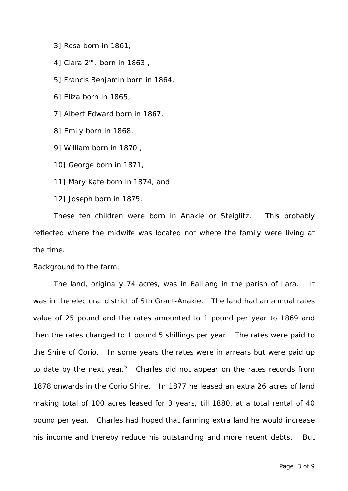3] Rosa born in 1861,

4] Clara  $2^{nd}$ . born in 1863,

5] Francis Benjamin born in 1864,

6] Eliza born in 1865,

7] Albert Edward born in 1867,

8] Emily born in 1868,

9] William born in 1870 ,

10] George born in 1871,

11] Mary Kate born in 1874, and

12] Joseph born in 1875.

 These ten children were born in Anakie or Steiglitz. This probably reflected where the midwife was located not where the family were living at the time.

Background to the farm.

 The land, originally 74 acres, was in Balliang in the parish of Lara. It was in the electoral district of Sth Grant-Anakie. The land had an annual rates value of 25 pound and the rates amounted to 1 pound per year to 1869 and then the rates changed to 1 pound 5 shillings per year. The rates were paid to the Shire of Corio. In some years the rates were in arrears but were paid up to date by the next year.<sup>5</sup> Charles did not appear on the rates records from 1878 onwards in the Corio Shire. In 1877 he leased an extra 26 acres of land making total of 100 acres leased for 3 years, till 1880, at a total rental of 40 pound per year. Charles had hoped that farming extra land he would increase his income and thereby reduce his outstanding and more recent debts. But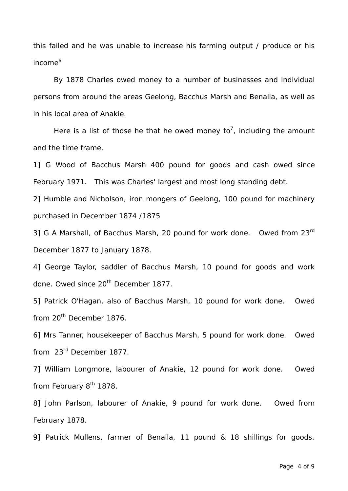this failed and he was unable to increase his farming output / produce or his income<sup>6</sup>

 By 1878 Charles owed money to a number of businesses and individual persons from around the areas Geelong, Bacchus Marsh and Benalla, as well as in his local area of Anakie.

Here is a list of those he that he owed money to<sup>7</sup>, including the amount and the time frame.

1] G Wood of Bacchus Marsh 400 pound for goods and cash owed since February 1971. This was Charles' largest and most long standing debt.

2] Humble and Nicholson, iron mongers of Geelong, 100 pound for machinery purchased in December 1874 /1875

3] G A Marshall, of Bacchus Marsh, 20 pound for work done. Owed from 23rd December 1877 to January 1878.

4] George Taylor, saddler of Bacchus Marsh, 10 pound for goods and work done. Owed since 20<sup>th</sup> December 1877.

5] Patrick O'Hagan, also of Bacchus Marsh, 10 pound for work done. Owed from 20<sup>th</sup> December 1876.

6] Mrs Tanner, housekeeper of Bacchus Marsh, 5 pound for work done. Owed from 23rd December 1877.

7] William Longmore, labourer of Anakie, 12 pound for work done. Owed from February 8<sup>th</sup> 1878.

8] John Parlson, labourer of Anakie, 9 pound for work done. Owed from February 1878.

9] Patrick Mullens, farmer of Benalla, 11 pound & 18 shillings for goods.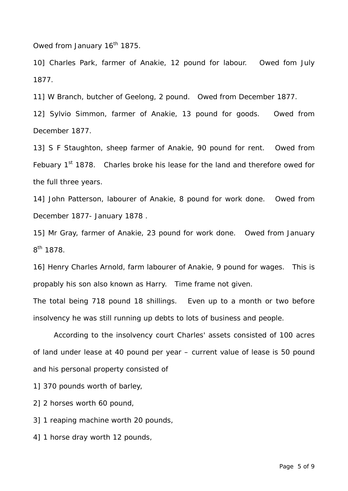Owed from January 16<sup>th</sup> 1875.

10] Charles Park, farmer of Anakie, 12 pound for labour. Owed fom July 1877.

11] W Branch, butcher of Geelong, 2 pound. Owed from December 1877.

12] Sylvio Simmon, farmer of Anakie, 13 pound for goods. Owed from December 1877.

13] S F Staughton, sheep farmer of Anakie, 90 pound for rent. Owed from Febuary 1<sup>st</sup> 1878. Charles broke his lease for the land and therefore owed for the full three years.

14] John Patterson, labourer of Anakie, 8 pound for work done. Owed from December 1877- January 1878 .

15] Mr Gray, farmer of Anakie, 23 pound for work done. Owed from January 8th 1878.

16] Henry Charles Arnold, farm labourer of Anakie, 9 pound for wages. This is propably his son also known as Harry. Time frame not given.

The total being 718 pound 18 shillings. Even up to a month or two before insolvency he was still running up debts to lots of business and people.

 According to the insolvency court Charles' assets consisted of 100 acres of land under lease at 40 pound per year – current value of lease is 50 pound and his personal property consisted of

1] 370 pounds worth of barley,

2] 2 horses worth 60 pound,

3] 1 reaping machine worth 20 pounds,

4] 1 horse dray worth 12 pounds,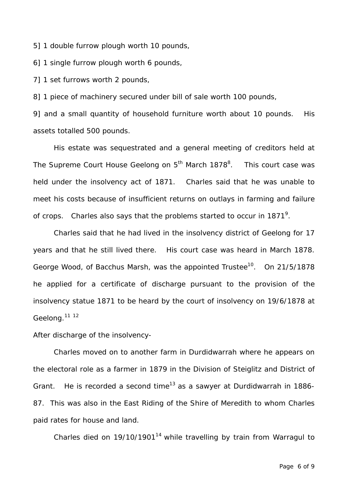5] 1 double furrow plough worth 10 pounds,

6] 1 single furrow plough worth 6 pounds,

7] 1 set furrows worth 2 pounds,

8] 1 piece of machinery secured under bill of sale worth 100 pounds,

9] and a small quantity of household furniture worth about 10 pounds. His assets totalled 500 pounds.

 His estate was sequestrated and a general meeting of creditors held at The Supreme Court House Geelong on 5<sup>th</sup> March 1878<sup>8</sup>. . This court case was held under the insolvency act of 1871. Charles said that he was unable to meet his costs because of insufficient returns on outlays in farming and failure of crops. Charles also says that the problems started to occur in 1871<sup>9</sup>.

 Charles said that he had lived in the insolvency district of Geelong for 17 years and that he still lived there. His court case was heard in March 1878. George Wood, of Bacchus Marsh, was the appointed Trustee<sup>10</sup>. On 21/5/1878 he applied for a certificate of discharge pursuant to the provision of the insolvency statue 1871 to be heard by the court of insolvency on 19/6/1878 at Geelong.<sup>11 12</sup>

After discharge of the insolvency-

 Charles moved on to another farm in Durdidwarrah where he appears on the electoral role as a farmer in 1879 in the Division of Steiglitz and District of Grant. He is recorded a second time<sup>13</sup> as a sawyer at Durdidwarrah in 1886-87. This was also in the East Riding of the Shire of Meredith to whom Charles paid rates for house and land.

Charles died on  $19/10/1901<sup>14</sup>$  while travelling by train from Warragul to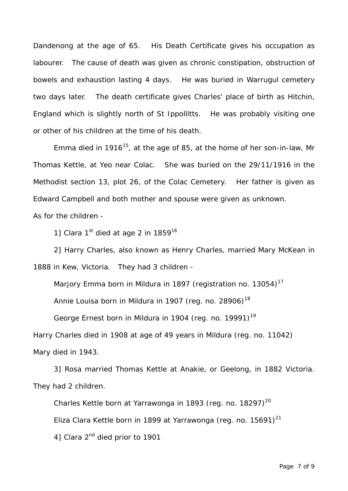Dandenong at the age of 65. His Death Certificate gives his occupation as labourer. The cause of death was given as chronic constipation, obstruction of bowels and exhaustion lasting 4 days. He was buried in Warrugul cemetery two days later. The death certificate gives Charles' place of birth as Hitchin, England which is slightly north of St Ippollitts. He was probably visiting one or other of his children at the time of his death.

Emma died in 1916<sup>15</sup>, at the age of 85, at the home of her son-in-law, Mr Thomas Kettle, at Yeo near Colac. She was buried on the 29/11/1916 in the Methodist section 13, plot 26, of the Colac Cemetery. Her father is given as Edward Campbell and both mother and spouse were given as unknown.

As for the children -

1] Clara  $1<sup>st</sup>$  died at age 2 in  $1859^{16}$ 

 2] Harry Charles, also known as Henry Charles, married Mary McKean in 1888 in Kew, Victoria. They had 3 children -

Marjory Emma born in Mildura in 1897 (registration no. 13054)<sup>17</sup>

Annie Louisa born in Mildura in 1907 (reg. no. 28906)<sup>18</sup>

George Ernest born in Mildura in 1904 (reg. no. 19991)<sup>19</sup>

Harry Charles died in 1908 at age of 49 years in Mildura (reg. no. 11042)

Mary died in 1943.

 3] Rosa married Thomas Kettle at Anakie, or Geelong, in 1882 Victoria. They had 2 children.

Charles Kettle born at Yarrawonga in 1893 (reg. no. 18297)<sup>20</sup> Eliza Clara Kettle born in 1899 at Yarrawonga (reg. no. 15691) $^{21}$ 41 Clara 2<sup>nd</sup> died prior to 1901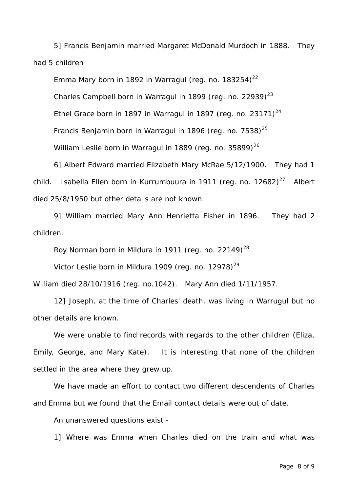5] Francis Benjamin married Margaret McDonald Murdoch in 1888. They had 5 children

Emma Mary born in 1892 in Warragul (reg. no.  $183254$ )<sup>22</sup> Charles Campbell born in Warragul in 1899 (reg. no. 22939) $^{23}$ Ethel Grace born in 1897 in Warragul in 1897 (reg. no. 23171) $^{24}$ Francis Benjamin born in Warragul in 1896 (req. no.  $7538$ )<sup>25</sup> William Leslie born in Warragul in 1889 (reg. no. 35899) $^{26}$ 

 6] Albert Edward married Elizabeth Mary McRae 5/12/1900. They had 1 child. Isabella Ellen born in Kurrumbuura in 1911 (reg. no.  $12682)^{27}$  Albert died 25/8/1950 but other details are not known.

 9] William married Mary Ann Henrietta Fisher in 1896. They had 2 children.

Roy Norman born in Mildura in 1911 (reg. no. 22149)<sup>28</sup>

Victor Leslie born in Mildura 1909 (reg. no. 12978)<sup>29</sup>

William died 28/10/1916 (reg. no.1042). Mary Ann died 1/11/1957.

 12] Joseph, at the time of Charles' death, was living in Warrugul but no other details are known.

We were unable to find records with regards to the other children (Eliza, Emily, George, and Mary Kate). It is interesting that none of the children settled in the area where they grew up.

 We have made an effort to contact two different descendents of Charles and Emma but we found that the Email contact details were out of date.

An unanswered questions exist -

1] Where was Emma when Charles died on the train and what was